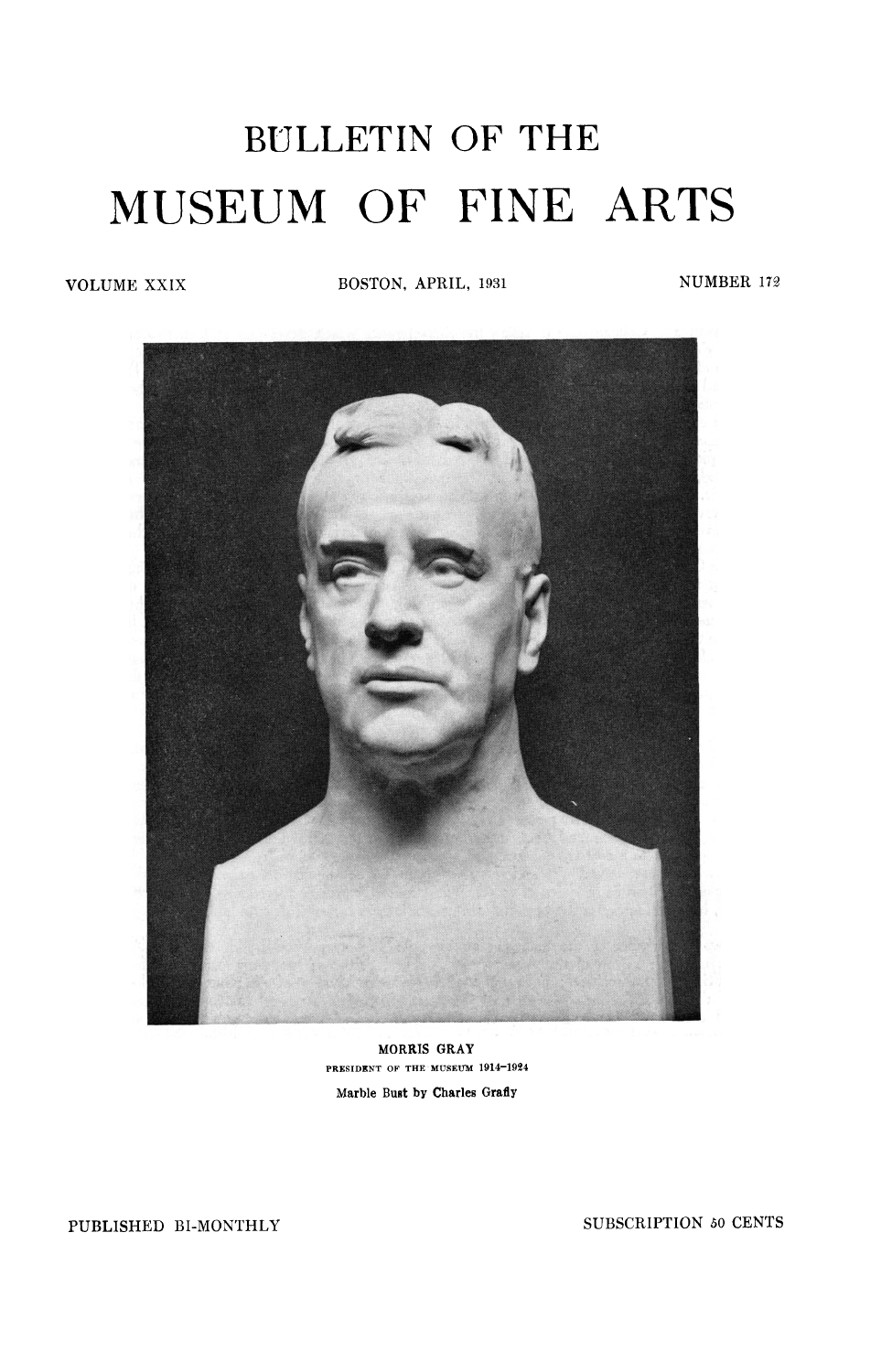## BULLETIN OF THE MUSEUM OF FINE ARTS

**VOLUME XXIX BOSTON, APRIL, 1931 NUMBER 172** 



**MORRIS GRAY PRESIDENT OF THE MUSEUM 1914-1924 Marble Bust by Charles Grafly** 

**PUBLISHED BI-MONTHLY SUBSCRIPTION** *50* **CENTS**